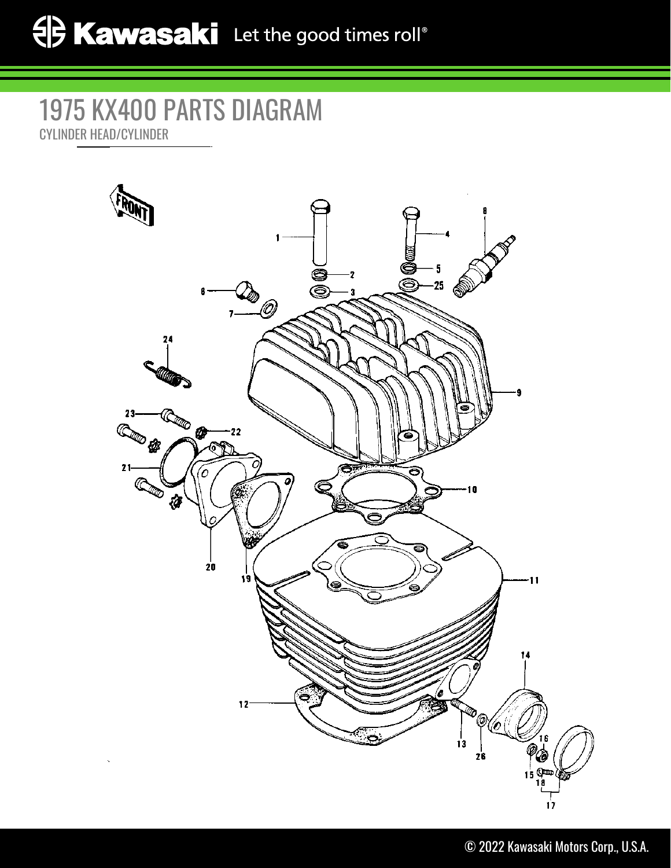## 1975 KX400 PARTS DIAGRAM CYLINDER HEAD/CYLINDER

Ó<br>© - 5 Ó 2  $25 \overline{5}$ ĕ  $\mathcal{P}_\mathscr{O}$ 24 **Compos** 23 Compter 22  $21$ ⋐₹ Ό **REA** 10 łà  $\overline{20}$  $\ddot{\mathbf{1}}$ í a Ō  $12 \%$ <u>ිං</u>  $\frac{1}{13}$  $\frac{1}{2}$ 26